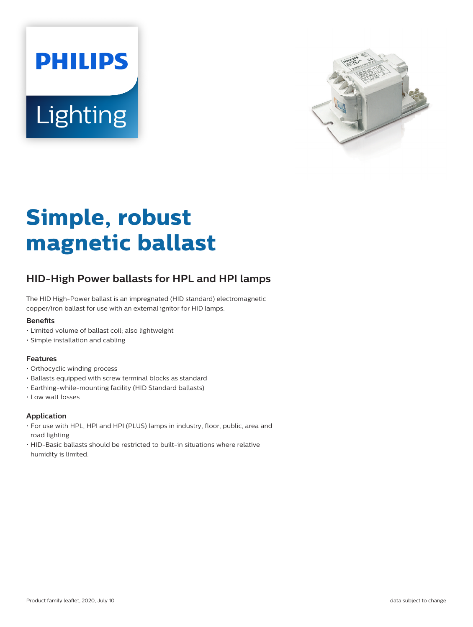



# **Simple, robust magnetic ballast**

## **HID-High Power ballasts for HPL and HPI lamps**

The HID High-Power ballast is an impregnated (HID standard) electromagnetic copper/iron ballast for use with an external ignitor for HID lamps.

#### **Benets**

- Limited volume of ballast coil; also lightweight
- Simple installation and cabling

#### **Features**

- Orthocyclic winding process
- Ballasts equipped with screw terminal blocks as standard
- Earthing-while-mounting facility (HID Standard ballasts)
- Low watt losses

#### **Application**

- For use with HPL, HPI and HPI (PLUS) lamps in industry, floor, public, area and road lighting
- HID-Basic ballasts should be restricted to built-in situations where relative humidity is limited.